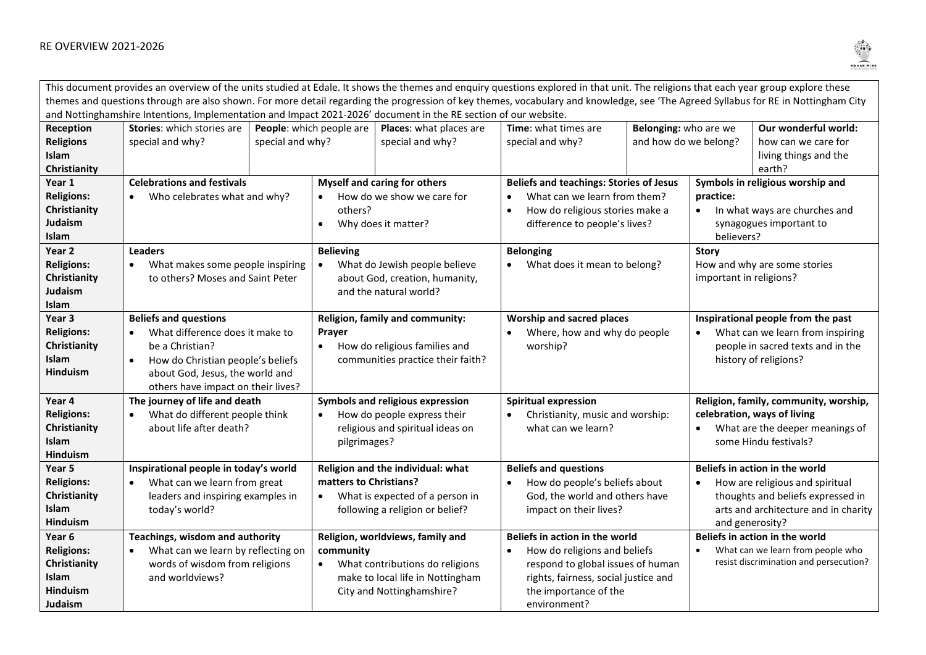

| This document provides an overview of the units studied at Edale. It shows the themes and enquiry questions explored in that unit. The religions that each year group explore these |                                                |  |                                                     |                                  |                                           |                                                |                                            |                                               |                                        |
|-------------------------------------------------------------------------------------------------------------------------------------------------------------------------------------|------------------------------------------------|--|-----------------------------------------------------|----------------------------------|-------------------------------------------|------------------------------------------------|--------------------------------------------|-----------------------------------------------|----------------------------------------|
| themes and questions through are also shown. For more detail regarding the progression of key themes, vocabulary and knowledge, see 'The Agreed Syllabus for RE in Nottingham City  |                                                |  |                                                     |                                  |                                           |                                                |                                            |                                               |                                        |
| and Nottinghamshire Intentions, Implementation and Impact 2021-2026' document in the RE section of our website.                                                                     |                                                |  |                                                     |                                  |                                           |                                                |                                            |                                               |                                        |
| Reception                                                                                                                                                                           | Stories: which stories are                     |  | People: which people are<br>Places: what places are |                                  | Time: what times are                      |                                                |                                            | Our wonderful world:<br>Belonging: who are we |                                        |
| <b>Religions</b>                                                                                                                                                                    | special and why?<br>special and why?           |  | special and why?                                    |                                  | and how do we belong?<br>special and why? |                                                |                                            | how can we care for                           |                                        |
| Islam                                                                                                                                                                               |                                                |  |                                                     |                                  |                                           |                                                |                                            | living things and the                         |                                        |
| Christianity                                                                                                                                                                        |                                                |  |                                                     |                                  |                                           |                                                |                                            |                                               | earth?                                 |
| Year 1                                                                                                                                                                              | <b>Celebrations and festivals</b>              |  | <b>Myself and caring for others</b>                 |                                  |                                           | <b>Beliefs and teachings: Stories of Jesus</b> |                                            | Symbols in religious worship and              |                                        |
| <b>Religions:</b>                                                                                                                                                                   | Who celebrates what and why?                   |  | How do we show we care for                          |                                  | What can we learn from them?              |                                                | practice:                                  |                                               |                                        |
| Christianity                                                                                                                                                                        |                                                |  | others?                                             |                                  | How do religious stories make a           |                                                | In what ways are churches and<br>$\bullet$ |                                               |                                        |
| Judaism                                                                                                                                                                             |                                                |  | Why does it matter?                                 |                                  | difference to people's lives?             |                                                | synagogues important to                    |                                               |                                        |
| Islam                                                                                                                                                                               |                                                |  |                                                     |                                  |                                           |                                                | believers?                                 |                                               |                                        |
| Year 2                                                                                                                                                                              | <b>Leaders</b>                                 |  | <b>Believing</b>                                    |                                  | <b>Belonging</b>                          |                                                | <b>Story</b>                               |                                               |                                        |
| <b>Religions:</b>                                                                                                                                                                   | What makes some people inspiring<br>$\bullet$  |  | What do Jewish people believe                       |                                  |                                           | What does it mean to belong?                   |                                            | How and why are some stories                  |                                        |
| Christianity                                                                                                                                                                        | to others? Moses and Saint Peter               |  | about God, creation, humanity,                      |                                  |                                           |                                                | important in religions?                    |                                               |                                        |
| Judaism                                                                                                                                                                             |                                                |  | and the natural world?                              |                                  |                                           |                                                |                                            |                                               |                                        |
| Islam                                                                                                                                                                               |                                                |  |                                                     |                                  |                                           |                                                |                                            |                                               |                                        |
| Year 3                                                                                                                                                                              | <b>Beliefs and questions</b>                   |  | Religion, family and community:                     |                                  |                                           | <b>Worship and sacred places</b>               |                                            | Inspirational people from the past            |                                        |
| <b>Religions:</b>                                                                                                                                                                   | What difference does it make to<br>$\bullet$   |  | Prayer                                              |                                  | Where, how and why do people              |                                                | What can we learn from inspiring           |                                               |                                        |
| Christianity                                                                                                                                                                        | be a Christian?                                |  | How do religious families and<br>$\bullet$          |                                  | worship?                                  |                                                | people in sacred texts and in the          |                                               |                                        |
| <b>Islam</b>                                                                                                                                                                        | How do Christian people's beliefs<br>$\bullet$ |  | communities practice their faith?                   |                                  |                                           |                                                |                                            |                                               | history of religions?                  |
| <b>Hinduism</b>                                                                                                                                                                     | about God, Jesus, the world and                |  |                                                     |                                  |                                           |                                                |                                            |                                               |                                        |
|                                                                                                                                                                                     | others have impact on their lives?             |  |                                                     |                                  |                                           |                                                |                                            |                                               |                                        |
| Year 4                                                                                                                                                                              | The journey of life and death                  |  | Symbols and religious expression                    |                                  | <b>Spiritual expression</b>               |                                                | Religion, family, community, worship,      |                                               |                                        |
| <b>Religions:</b>                                                                                                                                                                   | What do different people think                 |  | How do people express their                         |                                  | Christianity, music and worship:          |                                                | celebration, ways of living                |                                               |                                        |
| Christianity                                                                                                                                                                        | about life after death?                        |  | religious and spiritual ideas on                    |                                  |                                           | what can we learn?                             |                                            | What are the deeper meanings of<br>$\bullet$  |                                        |
| <b>Islam</b>                                                                                                                                                                        |                                                |  | pilgrimages?                                        |                                  |                                           |                                                |                                            |                                               | some Hindu festivals?                  |
| <b>Hinduism</b>                                                                                                                                                                     |                                                |  |                                                     |                                  |                                           |                                                |                                            |                                               |                                        |
| Year <sub>5</sub>                                                                                                                                                                   | Inspirational people in today's world          |  | Religion and the individual: what                   |                                  |                                           | <b>Beliefs and questions</b>                   |                                            | Beliefs in action in the world                |                                        |
| <b>Religions:</b>                                                                                                                                                                   | What can we learn from great<br>$\bullet$      |  | matters to Christians?                              |                                  | $\bullet$                                 | How do people's beliefs about                  |                                            | How are religious and spiritual<br>$\bullet$  |                                        |
| Christianity                                                                                                                                                                        | leaders and inspiring examples in              |  | What is expected of a person in<br>$\bullet$        |                                  |                                           | God, the world and others have                 |                                            |                                               | thoughts and beliefs expressed in      |
| Islam                                                                                                                                                                               | today's world?                                 |  |                                                     | following a religion or belief?  |                                           | impact on their lives?                         |                                            |                                               | arts and architecture and in charity   |
| <b>Hinduism</b>                                                                                                                                                                     |                                                |  |                                                     |                                  |                                           |                                                |                                            |                                               | and generosity?                        |
| Year 6                                                                                                                                                                              | Teachings, wisdom and authority                |  | Religion, worldviews, family and                    |                                  |                                           | Beliefs in action in the world                 |                                            | Beliefs in action in the world                |                                        |
| <b>Religions:</b>                                                                                                                                                                   | What can we learn by reflecting on             |  | community                                           |                                  |                                           | How do religions and beliefs                   |                                            | What can we learn from people who             |                                        |
| Christianity                                                                                                                                                                        | words of wisdom from religions                 |  |                                                     | What contributions do religions  |                                           | respond to global issues of human              |                                            |                                               | resist discrimination and persecution? |
| <b>Islam</b>                                                                                                                                                                        | and worldviews?                                |  |                                                     | make to local life in Nottingham |                                           | rights, fairness, social justice and           |                                            |                                               |                                        |
| <b>Hinduism</b>                                                                                                                                                                     |                                                |  |                                                     | City and Nottinghamshire?        |                                           | the importance of the                          |                                            |                                               |                                        |
| Judaism                                                                                                                                                                             |                                                |  |                                                     |                                  | environment?                              |                                                |                                            |                                               |                                        |